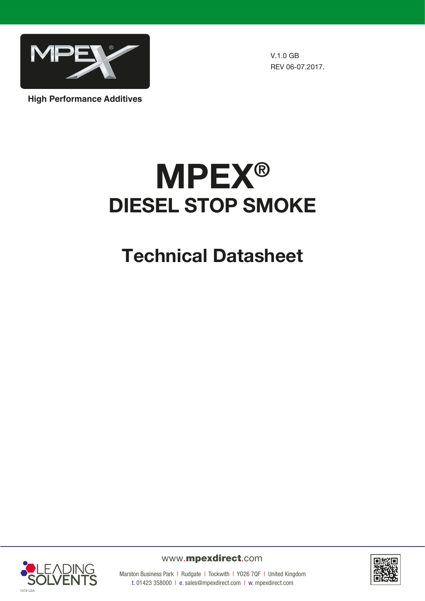

V.1.0 GB REV 06-07.2017.

**High Performance Additives**

# **MPEX®** DIESEL STOP SMOKE

## Technical Datasheet



www.mpexdirect.com



Marston Business Park | Rudgate | Tockwith | YO26 7QF | United Kingdom t. 01423 358000 | e. sales@mpexdirect.com | w. mpexdirect.com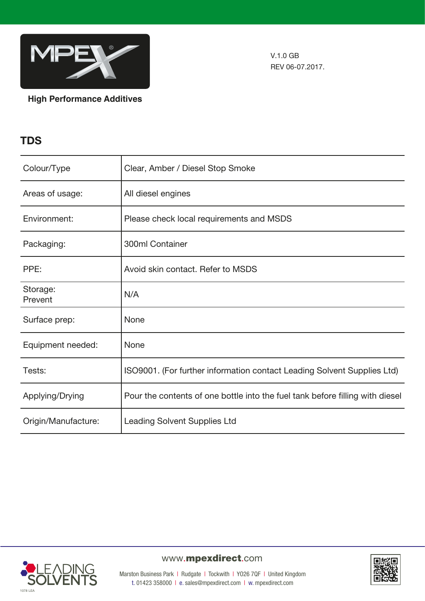

V.1.0 GB REV 06-07.2017.

**High Performance Additives**

## **TDS**

| Colour/Type         | Clear, Amber / Diesel Stop Smoke                                              |
|---------------------|-------------------------------------------------------------------------------|
| Areas of usage:     | All diesel engines                                                            |
| Environment:        | Please check local requirements and MSDS                                      |
| Packaging:          | 300ml Container                                                               |
| PPE:                | Avoid skin contact. Refer to MSDS                                             |
| Storage:<br>Prevent | N/A                                                                           |
| Surface prep:       | None                                                                          |
| Equipment needed:   | None                                                                          |
| Tests:              | ISO9001. (For further information contact Leading Solvent Supplies Ltd)       |
| Applying/Drying     | Pour the contents of one bottle into the fuel tank before filling with diesel |
| Origin/Manufacture: | <b>Leading Solvent Supplies Ltd</b>                                           |



## www.mpexdirect.com